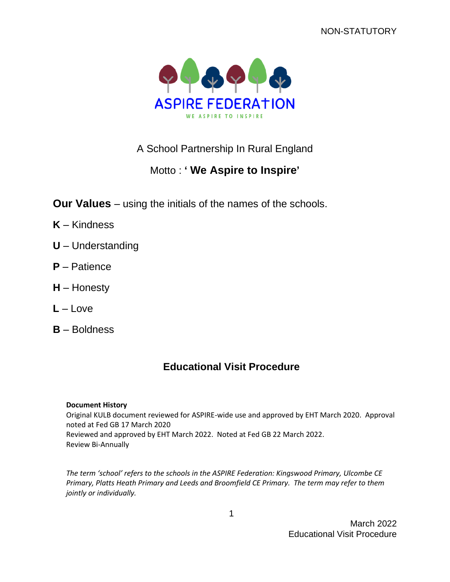

# A School Partnership In Rural England

# Motto : **' We Aspire to Inspire'**

**Our Values** – using the initials of the names of the schools.

- **K** Kindness
- **U** Understanding
- **P** Patience
- **H** Honesty
- **L** Love
- **B** Boldness

# **Educational Visit Procedure**

#### **Document History**

Original KULB document reviewed for ASPIRE-wide use and approved by EHT March 2020. Approval noted at Fed GB 17 March 2020 Reviewed and approved by EHT March 2022. Noted at Fed GB 22 March 2022. Review Bi-Annually

*The term 'school' refers to the schools in the ASPIRE Federation: Kingswood Primary, Ulcombe CE Primary, Platts Heath Primary and Leeds and Broomfield CE Primary. The term may refer to them jointly or individually.*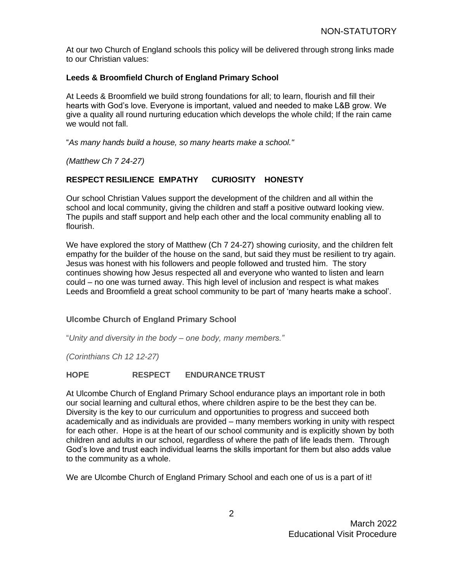At our two Church of England schools this policy will be delivered through strong links made to our Christian values:

#### **Leeds & Broomfield Church of England Primary School**

At Leeds & Broomfield we build strong foundations for all; to learn, flourish and fill their hearts with God's love. Everyone is important, valued and needed to make L&B grow. We give a quality all round nurturing education which develops the whole child; If the rain came we would not fall.

"*As many hands build a house, so many hearts make a school."*

*(Matthew Ch 7 24-27)*

#### **RESPECT RESILIENCE EMPATHY CURIOSITY HONESTY**

Our school Christian Values support the development of the children and all within the school and local community, giving the children and staff a positive outward looking view. The pupils and staff support and help each other and the local community enabling all to flourish.

We have explored the story of Matthew (Ch 7 24-27) showing curiosity, and the children felt empathy for the builder of the house on the sand, but said they must be resilient to try again. Jesus was honest with his followers and people followed and trusted him. The story continues showing how Jesus respected all and everyone who wanted to listen and learn could – no one was turned away. This high level of inclusion and respect is what makes Leeds and Broomfield a great school community to be part of 'many hearts make a school'.

#### **Ulcombe Church of England Primary School**

"*Unity and diversity in the body – one body, many members."*

*(Corinthians Ch 12 12-27)*

#### **HOPE RESPECT ENDURANCETRUST**

At Ulcombe Church of England Primary School endurance plays an important role in both our social learning and cultural ethos, where children aspire to be the best they can be. Diversity is the key to our curriculum and opportunities to progress and succeed both academically and as individuals are provided – many members working in unity with respect for each other. Hope is at the heart of our school community and is explicitly shown by both children and adults in our school, regardless of where the path of life leads them. Through God's love and trust each individual learns the skills important for them but also adds value to the community as a whole.

We are Ulcombe Church of England Primary School and each one of us is a part of it!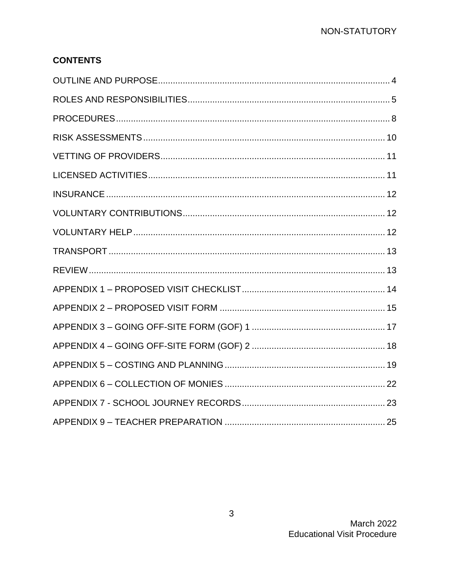# **CONTENTS**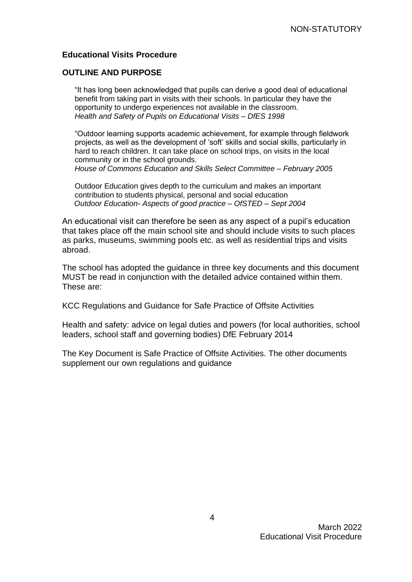#### <span id="page-3-0"></span>**Educational Visits Procedure**

#### **OUTLINE AND PURPOSE**

"It has long been acknowledged that pupils can derive a good deal of educational benefit from taking part in visits with their schools. In particular they have the opportunity to undergo experiences not available in the classroom. *Health and Safety of Pupils on Educational Visits – DfES 1998* 

"Outdoor learning supports academic achievement, for example through fieldwork projects, as well as the development of 'soft' skills and social skills, particularly in hard to reach children. It can take place on school trips, on visits in the local community or in the school grounds.

*House of Commons Education and Skills Select Committee – February 2005* 

Outdoor Education gives depth to the curriculum and makes an important contribution to students physical, personal and social education *Outdoor Education- Aspects of good practice – OfSTED – Sept 2004* 

An educational visit can therefore be seen as any aspect of a pupil's education that takes place off the main school site and should include visits to such places as parks, museums, swimming pools etc. as well as residential trips and visits abroad.

The school has adopted the guidance in three key documents and this document MUST be read in conjunction with the detailed advice contained within them. These are:

KCC Regulations and Guidance for Safe Practice of Offsite Activities

Health and safety: advice on legal duties and powers (for local authorities, school leaders, school staff and governing bodies) DfE February 2014

The Key Document is Safe Practice of Offsite Activities. The other documents supplement our own regulations and guidance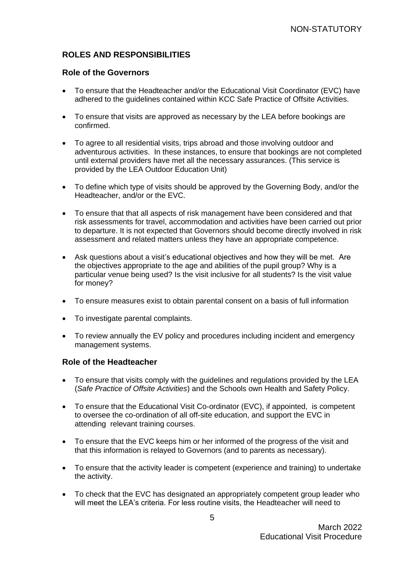## <span id="page-4-0"></span>**ROLES AND RESPONSIBILITIES**

#### **Role of the Governors**

- To ensure that the Headteacher and/or the Educational Visit Coordinator (EVC) have adhered to the guidelines contained within KCC Safe Practice of Offsite Activities.
- To ensure that visits are approved as necessary by the LEA before bookings are confirmed.
- To agree to all residential visits, trips abroad and those involving outdoor and adventurous activities. In these instances, to ensure that bookings are not completed until external providers have met all the necessary assurances. (This service is provided by the LEA Outdoor Education Unit)
- To define which type of visits should be approved by the Governing Body, and/or the Headteacher, and/or or the EVC.
- To ensure that that all aspects of risk management have been considered and that risk assessments for travel, accommodation and activities have been carried out prior to departure. It is not expected that Governors should become directly involved in risk assessment and related matters unless they have an appropriate competence.
- Ask questions about a visit's educational objectives and how they will be met. Are the objectives appropriate to the age and abilities of the pupil group? Why is a particular venue being used? Is the visit inclusive for all students? Is the visit value for money?
- To ensure measures exist to obtain parental consent on a basis of full information
- To investigate parental complaints.
- To review annually the EV policy and procedures including incident and emergency management systems.

#### **Role of the Headteacher**

- To ensure that visits comply with the guidelines and regulations provided by the LEA (*Safe Practice of Offsite Activities*) and the Schools own Health and Safety Policy.
- To ensure that the Educational Visit Co-ordinator (EVC), if appointed, is competent to oversee the co-ordination of all off-site education, and support the EVC in attending relevant training courses.
- To ensure that the EVC keeps him or her informed of the progress of the visit and that this information is relayed to Governors (and to parents as necessary).
- To ensure that the activity leader is competent (experience and training) to undertake the activity.
- To check that the EVC has designated an appropriately competent group leader who will meet the LEA's criteria. For less routine visits, the Headteacher will need to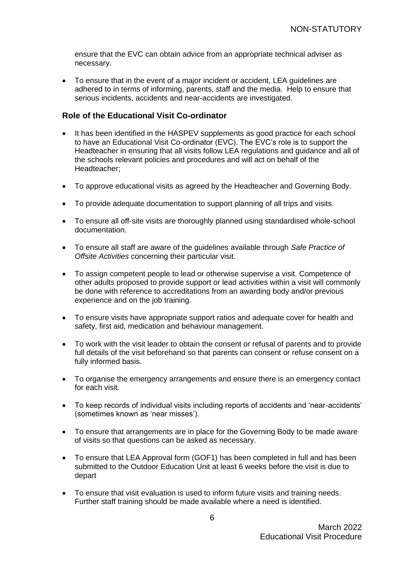ensure that the EVC can obtain advice from an appropriate technical adviser as necessary.

• To ensure that in the event of a major incident or accident, LEA guidelines are adhered to in terms of informing, parents, staff and the media. Help to ensure that serious incidents, accidents and near-accidents are investigated.

#### **Role of the Educational Visit Co-ordinator**

- It has been identified in the HASPEV supplements as good practice for each school to have an Educational Visit Co-ordinator (EVC). The EVC's role is to support the Headteacher in ensuring that all visits follow LEA regulations and guidance and all of the schools relevant policies and procedures and will act on behalf of the Headteacher;
- To approve educational visits as agreed by the Headteacher and Governing Body.
- To provide adequate documentation to support planning of all trips and visits.
- To ensure all off-site visits are thoroughly planned using standardised whole-school documentation.
- To ensure all staff are aware of the guidelines available through *Safe Practice of Offsite Activities* concerning their particular visit.
- To assign competent people to lead or otherwise supervise a visit. Competence of other adults proposed to provide support or lead activities within a visit will commonly be done with reference to accreditations from an awarding body and/or previous experience and on the job training.
- To ensure visits have appropriate support ratios and adequate cover for health and safety, first aid, medication and behaviour management.
- To work with the visit leader to obtain the consent or refusal of parents and to provide full details of the visit beforehand so that parents can consent or refuse consent on a fully informed basis.
- To organise the emergency arrangements and ensure there is an emergency contact for each visit.
- To keep records of individual visits including reports of accidents and 'near-accidents' (sometimes known as 'near misses').
- To ensure that arrangements are in place for the Governing Body to be made aware of visits so that questions can be asked as necessary.
- To ensure that LEA Approval form (GOF1) has been completed in full and has been submitted to the Outdoor Education Unit at least 6 weeks before the visit is due to depart
- To ensure that visit evaluation is used to inform future visits and training needs. Further staff training should be made available where a need is identified.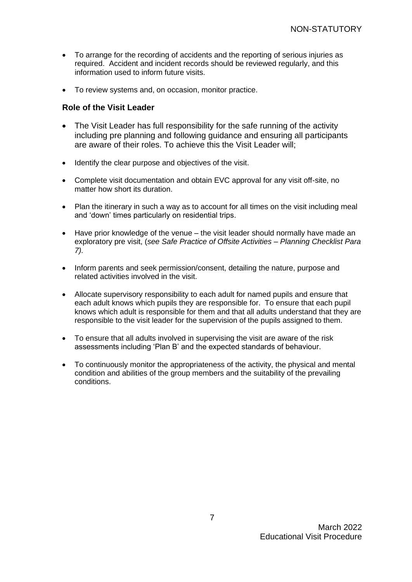- To arrange for the recording of accidents and the reporting of serious injuries as required. Accident and incident records should be reviewed regularly, and this information used to inform future visits.
- To review systems and, on occasion, monitor practice.

#### **Role of the Visit Leader**

- The Visit Leader has full responsibility for the safe running of the activity including pre planning and following guidance and ensuring all participants are aware of their roles. To achieve this the Visit Leader will;
- Identify the clear purpose and objectives of the visit.
- Complete visit documentation and obtain EVC approval for any visit off-site, no matter how short its duration.
- Plan the itinerary in such a way as to account for all times on the visit including meal and 'down' times particularly on residential trips.
- Have prior knowledge of the venue the visit leader should normally have made an exploratory pre visit, (*see Safe Practice of Offsite Activities – Planning Checklist Para 7).*
- Inform parents and seek permission/consent, detailing the nature, purpose and related activities involved in the visit.
- Allocate supervisory responsibility to each adult for named pupils and ensure that each adult knows which pupils they are responsible for. To ensure that each pupil knows which adult is responsible for them and that all adults understand that they are responsible to the visit leader for the supervision of the pupils assigned to them.
- To ensure that all adults involved in supervising the visit are aware of the risk assessments including 'Plan B' and the expected standards of behaviour.
- To continuously monitor the appropriateness of the activity, the physical and mental condition and abilities of the group members and the suitability of the prevailing conditions.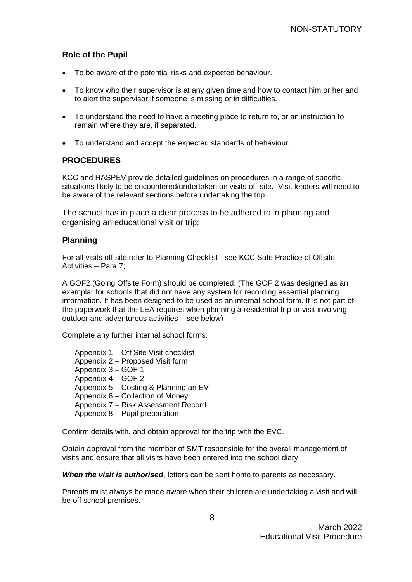### **Role of the Pupil**

- To be aware of the potential risks and expected behaviour.
- To know who their supervisor is at any given time and how to contact him or her and to alert the supervisor if someone is missing or in difficulties.
- <span id="page-7-0"></span>• To understand the need to have a meeting place to return to, or an instruction to remain where they are, if separated.
- To understand and accept the expected standards of behaviour.

#### **PROCEDURES**

KCC and HASPEV provide detailed guidelines on procedures in a range of specific situations likely to be encountered/undertaken on visits off-site. Visit leaders will need to be aware of the relevant sections before undertaking the trip

The school has in place a clear process to be adhered to in planning and organising an educational visit or trip;

#### **Planning**

For all visits off site refer to Planning Checklist - see KCC Safe Practice of Offsite Activities – Para 7;

A GOF2 (Going Offsite Form) should be completed. (The GOF 2 was designed as an exemplar for schools that did not have any system for recording essential planning information. It has been designed to be used as an internal school form. It is not part of the paperwork that the LEA requires when planning a residential trip or visit involving outdoor and adventurous activities – see below)

Complete any further internal school forms:

Appendix 1 – Off Site Visit checklist Appendix 2 – Proposed Visit form Appendix 3 – GOF 1 Appendix 4 – GOF 2 Appendix 5 – Costing & Planning an EV Appendix 6 – Collection of Money Appendix 7 – Risk Assessment Record Appendix 8 – Pupil preparation

Confirm details with, and obtain approval for the trip with the EVC.

Obtain approval from the member of SMT responsible for the overall management of visits and ensure that all visits have been entered into the school diary.

*When the visit is authorised*, letters can be sent home to parents as necessary.

Parents must always be made aware when their children are undertaking a visit and will be off school premises.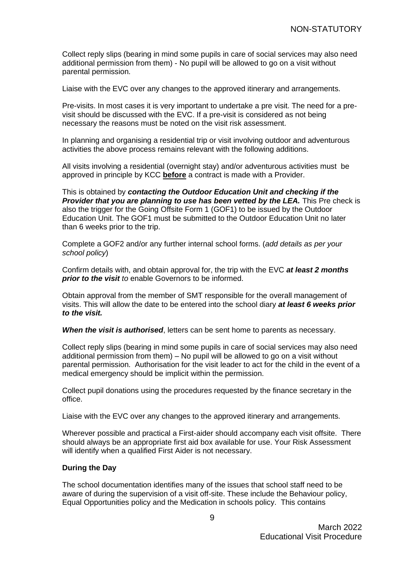Collect reply slips (bearing in mind some pupils in care of social services may also need additional permission from them) - No pupil will be allowed to go on a visit without parental permission.

Liaise with the EVC over any changes to the approved itinerary and arrangements.

Pre-visits. In most cases it is very important to undertake a pre visit. The need for a previsit should be discussed with the EVC. If a pre-visit is considered as not being necessary the reasons must be noted on the visit risk assessment.

In planning and organising a residential trip or visit involving outdoor and adventurous activities the above process remains relevant with the following additions.

All visits involving a residential (overnight stay) and/or adventurous activities must be approved in principle by KCC **before** a contract is made with a Provider.

This is obtained by *contacting the Outdoor Education Unit and checking if the Provider that you are planning to use has been vetted by the LEA.* This Pre check is also the trigger for the Going Offsite Form 1 (GOF1) to be issued by the Outdoor Education Unit. The GOF1 must be submitted to the Outdoor Education Unit no later than 6 weeks prior to the trip.

Complete a GOF2 and/or any further internal school forms. (*add details as per your school policy*)

Confirm details with, and obtain approval for, the trip with the EVC *at least 2 months prior to the visit to* enable Governors to be informed.

Obtain approval from the member of SMT responsible for the overall management of visits. This will allow the date to be entered into the school diary *at least 6 weeks prior to the visit.*

*When the visit is authorised*, letters can be sent home to parents as necessary.

Collect reply slips (bearing in mind some pupils in care of social services may also need additional permission from them) – No pupil will be allowed to go on a visit without parental permission. Authorisation for the visit leader to act for the child in the event of a medical emergency should be implicit within the permission.

Collect pupil donations using the procedures requested by the finance secretary in the office.

Liaise with the EVC over any changes to the approved itinerary and arrangements.

Wherever possible and practical a First-aider should accompany each visit offsite. There should always be an appropriate first aid box available for use. Your Risk Assessment will identify when a qualified First Aider is not necessary.

#### **During the Day**

The school documentation identifies many of the issues that school staff need to be aware of during the supervision of a visit off-site. These include the Behaviour policy, Equal Opportunities policy and the Medication in schools policy. This contains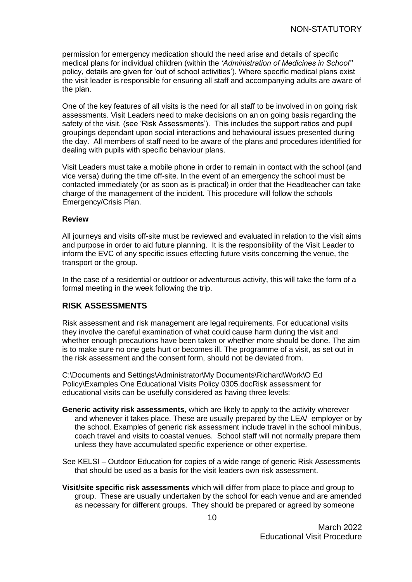permission for emergency medication should the need arise and details of specific medical plans for individual children (within the *'Administration of Medicines in School''* policy, details are given for 'out of school activities'). Where specific medical plans exist the visit leader is responsible for ensuring all staff and accompanying adults are aware of the plan.

One of the key features of all visits is the need for all staff to be involved in on going risk assessments. Visit Leaders need to make decisions on an on going basis regarding the safety of the visit. (see 'Risk Assessments'). This includes the support ratios and pupil groupings dependant upon social interactions and behavioural issues presented during the day. All members of staff need to be aware of the plans and procedures identified for dealing with pupils with specific behaviour plans.

Visit Leaders must take a mobile phone in order to remain in contact with the school (and vice versa) during the time off-site. In the event of an emergency the school must be contacted immediately (or as soon as is practical) in order that the Headteacher can take charge of the management of the incident. This procedure will follow the schools Emergency/Crisis Plan.

#### **Review**

All journeys and visits off-site must be reviewed and evaluated in relation to the visit aims and purpose in order to aid future planning. It is the responsibility of the Visit Leader to inform the EVC of any specific issues effecting future visits concerning the venue, the transport or the group.

<span id="page-9-0"></span>In the case of a residential or outdoor or adventurous activity, this will take the form of a formal meeting in the week following the trip.

#### **RISK ASSESSMENTS**

Risk assessment and risk management are legal requirements. For educational visits they involve the careful examination of what could cause harm during the visit and whether enough precautions have been taken or whether more should be done. The aim is to make sure no one gets hurt or becomes ill. The programme of a visit, as set out in the risk assessment and the consent form, should not be deviated from.

C:\Documents and Settings\Administrator\My Documents\Richard\Work\O Ed Policy\Examples One Educational Visits Policy 0305.docRisk assessment for educational visits can be usefully considered as having three levels:

- **Generic activity risk assessments**, which are likely to apply to the activity wherever and whenever it takes place. These are usually prepared by the LEA/ employer or by the school. Examples of generic risk assessment include travel in the school minibus, coach travel and visits to coastal venues. School staff will not normally prepare them unless they have accumulated specific experience or other expertise.
- See KELSI Outdoor Education for copies of a wide range of generic Risk Assessments that should be used as a basis for the visit leaders own risk assessment.
- **Visit/site specific risk assessments** which will differ from place to place and group to group. These are usually undertaken by the school for each venue and are amended as necessary for different groups. They should be prepared or agreed by someone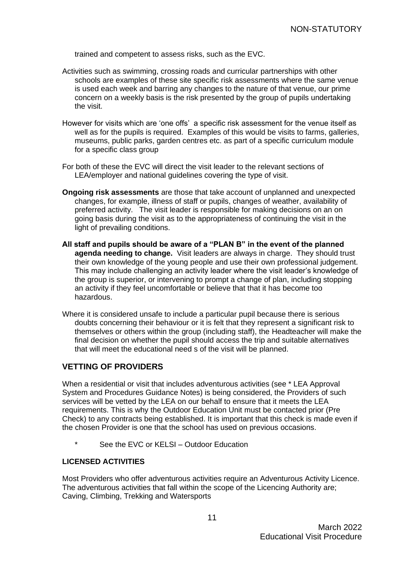trained and competent to assess risks, such as the EVC.

- Activities such as swimming, crossing roads and curricular partnerships with other schools are examples of these site specific risk assessments where the same venue is used each week and barring any changes to the nature of that venue, our prime concern on a weekly basis is the risk presented by the group of pupils undertaking the visit.
- However for visits which are 'one offs' a specific risk assessment for the venue itself as well as for the pupils is required. Examples of this would be visits to farms, galleries, museums, public parks, garden centres etc. as part of a specific curriculum module for a specific class group
- For both of these the EVC will direct the visit leader to the relevant sections of LEA/employer and national guidelines covering the type of visit.
- **Ongoing risk assessments** are those that take account of unplanned and unexpected changes, for example, illness of staff or pupils, changes of weather, availability of preferred activity. The visit leader is responsible for making decisions on an on going basis during the visit as to the appropriateness of continuing the visit in the light of prevailing conditions.
- **All staff and pupils should be aware of a "PLAN B" in the event of the planned agenda needing to change.** Visit leaders are always in charge. They should trust their own knowledge of the young people and use their own professional judgement. This may include challenging an activity leader where the visit leader's knowledge of the group is superior, or intervening to prompt a change of plan, including stopping an activity if they feel uncomfortable or believe that that it has become too hazardous.
- <span id="page-10-0"></span>Where it is considered unsafe to include a particular pupil because there is serious doubts concerning their behaviour or it is felt that they represent a significant risk to themselves or others within the group (including staff), the Headteacher will make the final decision on whether the pupil should access the trip and suitable alternatives that will meet the educational need s of the visit will be planned.

#### **VETTING OF PROVIDERS**

When a residential or visit that includes adventurous activities (see \* LEA Approval System and Procedures Guidance Notes) is being considered, the Providers of such services will be vetted by the LEA on our behalf to ensure that it meets the LEA requirements. This is why the Outdoor Education Unit must be contacted prior (Pre Check) to any contracts being established. It is important that this check is made even if the chosen Provider is one that the school has used on previous occasions.

<span id="page-10-1"></span>See the EVC or KELSI – Outdoor Education

#### **LICENSED ACTIVITIES**

Most Providers who offer adventurous activities require an Adventurous Activity Licence. The adventurous activities that fall within the scope of the Licencing Authority are; Caving, Climbing, Trekking and Watersports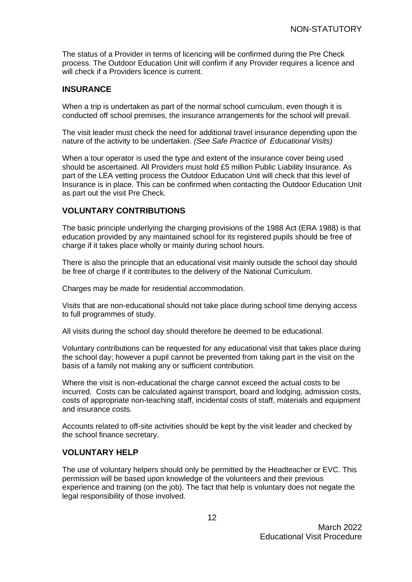<span id="page-11-0"></span>The status of a Provider in terms of licencing will be confirmed during the Pre Check process. The Outdoor Education Unit will confirm if any Provider requires a licence and will check if a Providers licence is current.

#### **INSURANCE**

When a trip is undertaken as part of the normal school curriculum, even though it is conducted off school premises, the insurance arrangements for the school will prevail.

The visit leader must check the need for additional travel insurance depending upon the nature of the activity to be undertaken. *(See Safe Practice of Educational Visits)*

<span id="page-11-1"></span>When a tour operator is used the type and extent of the insurance cover being used should be ascertained. All Providers must hold £5 million Public Liability Insurance. As part of the LEA vetting process the Outdoor Education Unit will check that this level of Insurance is in place. This can be confirmed when contacting the Outdoor Education Unit as part out the visit Pre Check.

#### **VOLUNTARY CONTRIBUTIONS**

The basic principle underlying the charging provisions of the 1988 Act (ERA 1988) is that education provided by any maintained school for its registered pupils should be free of charge if it takes place wholly or mainly during school hours.

There is also the principle that an educational visit mainly outside the school day should be free of charge if it contributes to the delivery of the National Curriculum.

Charges may be made for residential accommodation.

Visits that are non-educational should not take place during school time denying access to full programmes of study.

All visits during the school day should therefore be deemed to be educational.

Voluntary contributions can be requested for any educational visit that takes place during the school day; however a pupil cannot be prevented from taking part in the visit on the basis of a family not making any or sufficient contribution.

Where the visit is non-educational the charge cannot exceed the actual costs to be incurred. Costs can be calculated against transport, board and lodging, admission costs, costs of appropriate non-teaching staff, incidental costs of staff, materials and equipment and insurance costs.

<span id="page-11-2"></span>Accounts related to off-site activities should be kept by the visit leader and checked by the school finance secretary.

#### **VOLUNTARY HELP**

The use of voluntary helpers should only be permitted by the Headteacher or EVC. This permission will be based upon knowledge of the volunteers and their previous experience and training (on the job). The fact that help is voluntary does not negate the legal responsibility of those involved.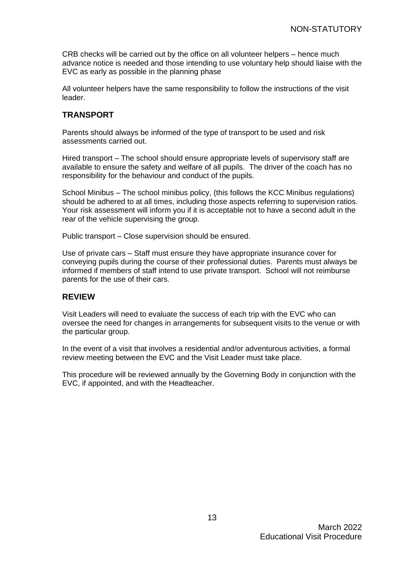CRB checks will be carried out by the office on all volunteer helpers – hence much advance notice is needed and those intending to use voluntary help should liaise with the EVC as early as possible in the planning phase

<span id="page-12-0"></span>All volunteer helpers have the same responsibility to follow the instructions of the visit leader.

### **TRANSPORT**

Parents should always be informed of the type of transport to be used and risk assessments carried out.

Hired transport – The school should ensure appropriate levels of supervisory staff are available to ensure the safety and welfare of all pupils. The driver of the coach has no responsibility for the behaviour and conduct of the pupils.

School Minibus – The school minibus policy, (this follows the KCC Minibus regulations) should be adhered to at all times, including those aspects referring to supervision ratios. Your risk assessment will inform you if it is acceptable not to have a second adult in the rear of the vehicle supervising the group.

Public transport – Close supervision should be ensured.

<span id="page-12-1"></span>Use of private cars – Staff must ensure they have appropriate insurance cover for conveying pupils during the course of their professional duties. Parents must always be informed if members of staff intend to use private transport. School will not reimburse parents for the use of their cars.

#### **REVIEW**

Visit Leaders will need to evaluate the success of each trip with the EVC who can oversee the need for changes in arrangements for subsequent visits to the venue or with the particular group.

In the event of a visit that involves a residential and/or adventurous activities, a formal review meeting between the EVC and the Visit Leader must take place.

This procedure will be reviewed annually by the Governing Body in conjunction with the EVC, if appointed, and with the Headteacher.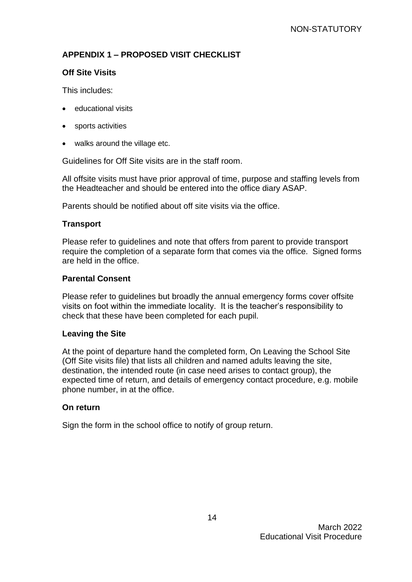## <span id="page-13-0"></span>**APPENDIX 1 – PROPOSED VISIT CHECKLIST**

## **Off Site Visits**

This includes:

- educational visits
- sports activities
- walks around the village etc.

Guidelines for Off Site visits are in the staff room.

All offsite visits must have prior approval of time, purpose and staffing levels from the Headteacher and should be entered into the office diary ASAP.

Parents should be notified about off site visits via the office.

### **Transport**

Please refer to guidelines and note that offers from parent to provide transport require the completion of a separate form that comes via the office. Signed forms are held in the office.

#### **Parental Consent**

Please refer to guidelines but broadly the annual emergency forms cover offsite visits on foot within the immediate locality. It is the teacher's responsibility to check that these have been completed for each pupil.

#### **Leaving the Site**

At the point of departure hand the completed form, On Leaving the School Site (Off Site visits file) that lists all children and named adults leaving the site, destination, the intended route (in case need arises to contact group), the expected time of return, and details of emergency contact procedure, e.g. mobile phone number, in at the office.

#### **On return**

Sign the form in the school office to notify of group return.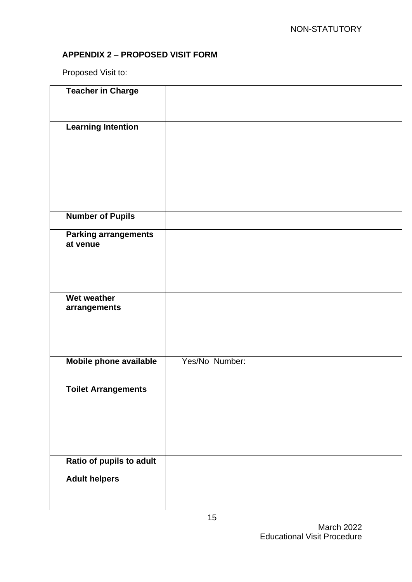## <span id="page-14-0"></span>**APPENDIX 2 – PROPOSED VISIT FORM**

Proposed Visit to:

| <b>Teacher in Charge</b>                |                |
|-----------------------------------------|----------------|
| <b>Learning Intention</b>               |                |
| <b>Number of Pupils</b>                 |                |
| <b>Parking arrangements</b><br>at venue |                |
| Wet weather<br>arrangements             |                |
| Mobile phone available                  | Yes/No Number: |
| <b>Toilet Arrangements</b>              |                |
| Ratio of pupils to adult                |                |
| <b>Adult helpers</b>                    |                |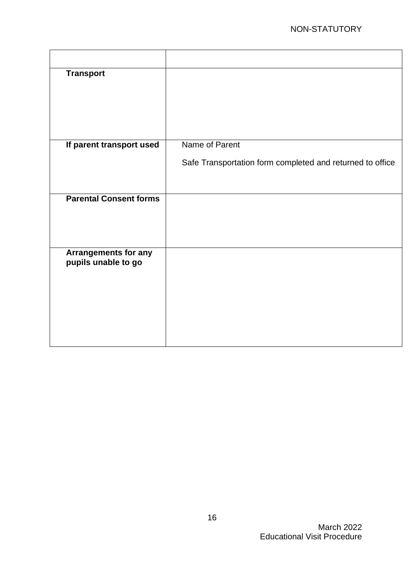| <b>Transport</b>                                   |                                                           |
|----------------------------------------------------|-----------------------------------------------------------|
| If parent transport used                           | Name of Parent                                            |
|                                                    | Safe Transportation form completed and returned to office |
| <b>Parental Consent forms</b>                      |                                                           |
| <b>Arrangements for any</b><br>pupils unable to go |                                                           |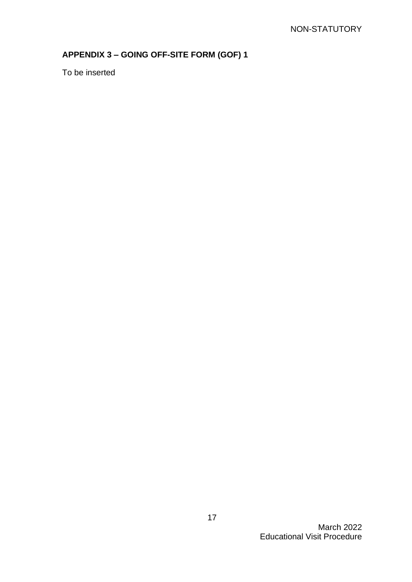# <span id="page-16-0"></span>**APPENDIX 3 – GOING OFF-SITE FORM (GOF) 1**

To be inserted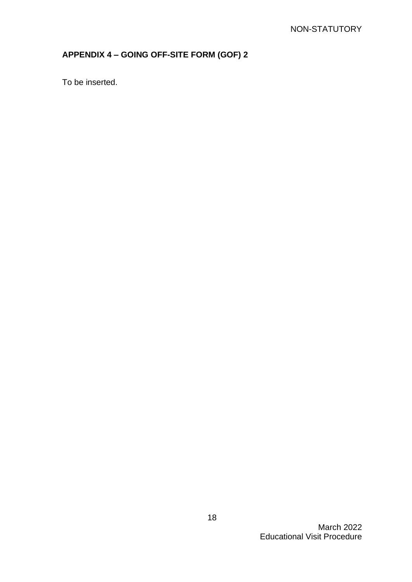# <span id="page-17-0"></span>**APPENDIX 4 – GOING OFF-SITE FORM (GOF) 2**

To be inserted.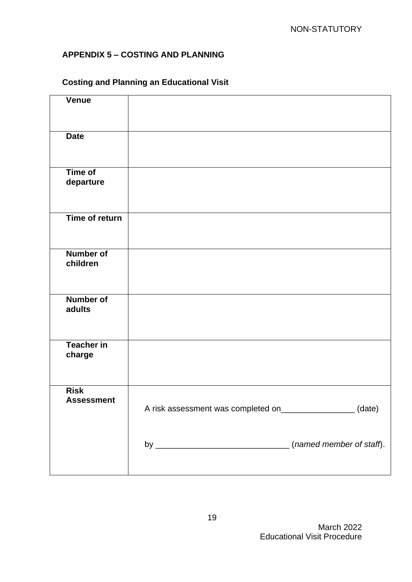## <span id="page-18-0"></span>**APPENDIX 5 – COSTING AND PLANNING**

# **Costing and Planning an Educational Visit**

| <b>Venue</b>                     |                                                           |  |
|----------------------------------|-----------------------------------------------------------|--|
| <b>Date</b>                      |                                                           |  |
| Time of<br>departure             |                                                           |  |
| Time of return                   |                                                           |  |
| Number of<br>children            |                                                           |  |
| Number of<br>adults              |                                                           |  |
| <b>Teacher in</b><br>charge      |                                                           |  |
| <b>Risk</b><br><b>Assessment</b> | A risk assessment was completed on_________________(date) |  |
|                                  |                                                           |  |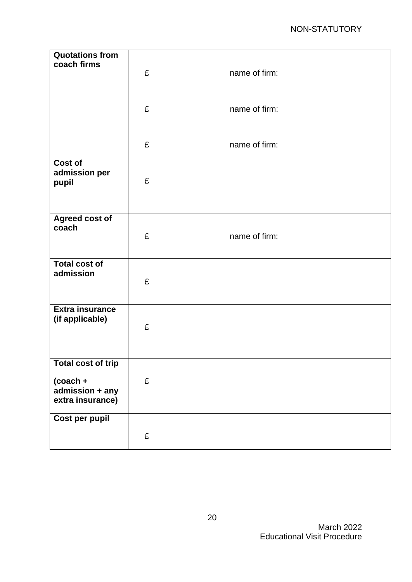| <b>Quotations from</b><br>coach firms     | £ | name of firm: |
|-------------------------------------------|---|---------------|
|                                           | £ | name of firm: |
|                                           | £ | name of firm: |
| Cost of<br>admission per<br>pupil         | £ |               |
| Agreed cost of<br>coach                   | £ | name of firm: |
| <b>Total cost of</b><br>admission         | £ |               |
| <b>Extra insurance</b><br>(if applicable) | £ |               |
| <b>Total cost of trip</b><br>$(cocch +$   | £ |               |
| admission + any<br>extra insurance)       |   |               |
| Cost per pupil                            |   |               |
|                                           | £ |               |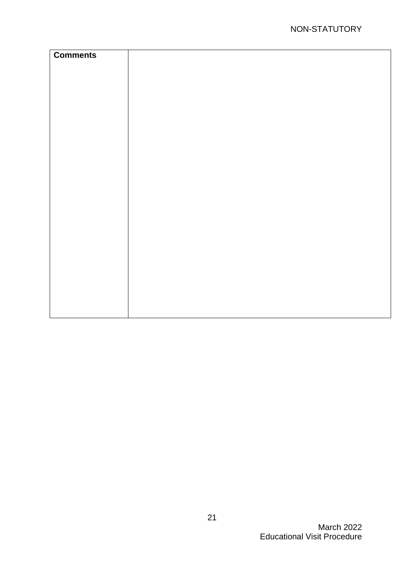| <b>Comments</b> |  |
|-----------------|--|
|                 |  |
|                 |  |
|                 |  |
|                 |  |
|                 |  |
|                 |  |
|                 |  |
|                 |  |
|                 |  |
|                 |  |
|                 |  |
|                 |  |
|                 |  |
|                 |  |
|                 |  |
|                 |  |
|                 |  |
|                 |  |
|                 |  |
|                 |  |
|                 |  |
|                 |  |
|                 |  |
|                 |  |
|                 |  |
|                 |  |
|                 |  |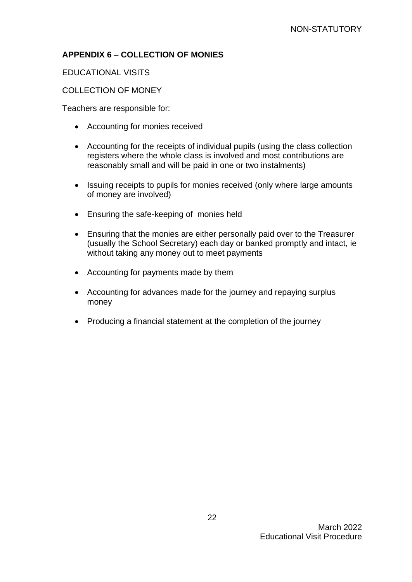## <span id="page-21-0"></span>**APPENDIX 6 – COLLECTION OF MONIES**

EDUCATIONAL VISITS

### COLLECTION OF MONEY

Teachers are responsible for:

- Accounting for monies received
- Accounting for the receipts of individual pupils (using the class collection registers where the whole class is involved and most contributions are reasonably small and will be paid in one or two instalments)
- Issuing receipts to pupils for monies received (only where large amounts of money are involved)
- Ensuring the safe-keeping of monies held
- Ensuring that the monies are either personally paid over to the Treasurer (usually the School Secretary) each day or banked promptly and intact, ie without taking any money out to meet payments
- Accounting for payments made by them
- Accounting for advances made for the journey and repaying surplus money
- Producing a financial statement at the completion of the journey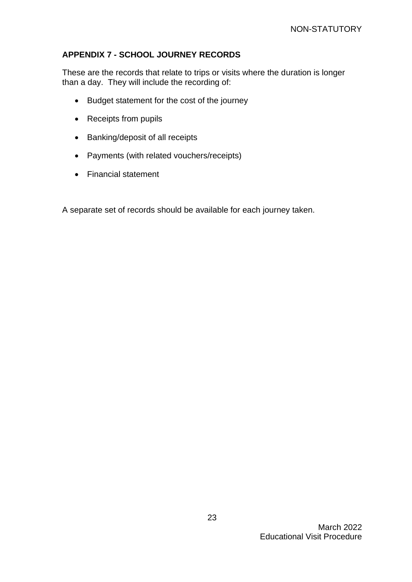## <span id="page-22-0"></span>**APPENDIX 7 - SCHOOL JOURNEY RECORDS**

These are the records that relate to trips or visits where the duration is longer than a day. They will include the recording of:

- Budget statement for the cost of the journey
- Receipts from pupils
- Banking/deposit of all receipts
- Payments (with related vouchers/receipts)
- Financial statement

A separate set of records should be available for each journey taken.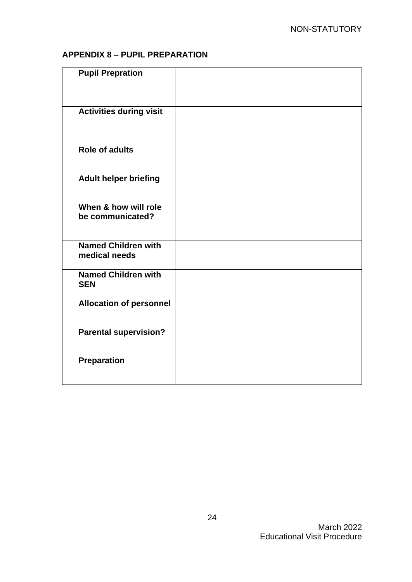## **APPENDIX 8 – PUPIL PREPARATION**

| <b>Pupil Prepration</b>                     |  |
|---------------------------------------------|--|
| <b>Activities during visit</b>              |  |
| <b>Role of adults</b>                       |  |
| <b>Adult helper briefing</b>                |  |
| When & how will role<br>be communicated?    |  |
| <b>Named Children with</b><br>medical needs |  |
| <b>Named Children with</b><br><b>SEN</b>    |  |
| <b>Allocation of personnel</b>              |  |
| <b>Parental supervision?</b>                |  |
| <b>Preparation</b>                          |  |